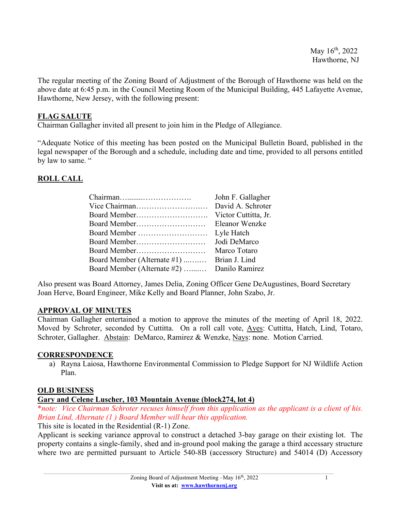The regular meeting of the Zoning Board of Adjustment of the Borough of Hawthorne was held on the above date at 6:45 p.m. in the Council Meeting Room of the Municipal Building, 445 Lafayette Avenue, Hawthorne, New Jersey, with the following present:

## **FLAG SALUTE**

Chairman Gallagher invited all present to join him in the Pledge of Allegiance.

"Adequate Notice of this meeting has been posted on the Municipal Bulletin Board, published in the legal newspaper of the Borough and a schedule, including date and time, provided to all persons entitled by law to same. "

## **ROLL CALL**

| John F. Gallagher                           |
|---------------------------------------------|
| David A. Schroter                           |
| Victor Cuttitta, Jr.                        |
| Eleanor Wenzke                              |
| Lyle Hatch                                  |
| Jodi DeMarco                                |
| Marco Totaro                                |
| Brian J. Lind                               |
| Board Member (Alternate #2)  Danilo Ramirez |
|                                             |

Also present was Board Attorney, James Delia, Zoning Officer Gene DeAugustines, Board Secretary Joan Herve, Board Engineer, Mike Kelly and Board Planner, John Szabo, Jr.

## **APPROVAL OF MINUTES**

Chairman Gallagher entertained a motion to approve the minutes of the meeting of April 18, 2022. Moved by Schroter, seconded by Cuttitta. On a roll call vote, Ayes: Cuttitta, Hatch, Lind, Totaro, Schroter, Gallagher. Abstain: DeMarco, Ramirez & Wenzke, Nays: none. Motion Carried.

## **CORRESPONDENCE**

a) Rayna Laiosa, Hawthorne Environmental Commission to Pledge Support for NJ Wildlife Action Plan.

## **OLD BUSINESS**

## **Gary and Celene Luscher, 103 Mountain Avenue (block274, lot 4)**

\**note: Vice Chairman Schroter recuses himself from this application as the applicant is a client of his. Brian Lind, Alternate (1 ) Board Member will hear this application.*

This site is located in the Residential (R-1) Zone.

Applicant is seeking variance approval to construct a detached 3-bay garage on their existing lot. The property contains a single-family, shed and in-ground pool making the garage a third accessary structure where two are permitted pursuant to Article 540-8B (accessory Structure) and 54014 (D) Accessory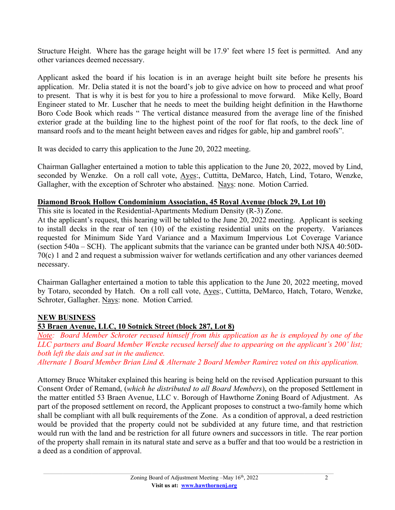Structure Height. Where has the garage height will be 17.9' feet where 15 feet is permitted. And any other variances deemed necessary.

Applicant asked the board if his location is in an average height built site before he presents his application. Mr. Delia stated it is not the board's job to give advice on how to proceed and what proof to present. That is why it is best for you to hire a professional to move forward. Mike Kelly, Board Engineer stated to Mr. Luscher that he needs to meet the building height definition in the Hawthorne Boro Code Book which reads " The vertical distance measured from the average line of the finished exterior grade at the building line to the highest point of the roof for flat roofs, to the deck line of mansard roofs and to the meant height between eaves and ridges for gable, hip and gambrel roofs".

It was decided to carry this application to the June 20, 2022 meeting.

Chairman Gallagher entertained a motion to table this application to the June 20, 2022, moved by Lind, seconded by Wenzke. On a roll call vote, Ayes:, Cuttitta, DeMarco, Hatch, Lind, Totaro, Wenzke, Gallagher, with the exception of Schroter who abstained. Nays: none. Motion Carried.

## **Diamond Brook Hollow Condominium Association, 45 Royal Avenue (block 29, Lot 10)**

This site is located in the Residential-Apartments Medium Density (R-3) Zone.

At the applicant's request, this hearing will be tabled to the June 20, 2022 meeting. Applicant is seeking to install decks in the rear of ten (10) of the existing residential units on the property. Variances requested for Minimum Side Yard Variance and a Maximum Impervious Lot Coverage Variance (section 540a – SCH). The applicant submits that the variance can be granted under both NJSA 40:50D-70(c) 1 and 2 and request a submission waiver for wetlands certification and any other variances deemed necessary.

Chairman Gallagher entertained a motion to table this application to the June 20, 2022 meeting, moved by Totaro, seconded by Hatch. On a roll call vote, Ayes:, Cuttitta, DeMarco, Hatch, Totaro, Wenzke, Schroter, Gallagher. Nays: none. Motion Carried.

# **NEW BUSINESS**

# **53 Braen Avenue, LLC, 10 Sotnick Street (block 287, Lot 8)**

*Note: Board Member Schroter recused himself from this application as he is employed by one of the LLC partners and Board Member Wenzke recused herself due to appearing on the applicant's 200' list; both left the dais and sat in the audience. Alternate 1 Board Member Brian Lind & Alternate 2 Board Member Ramirez voted on this application.*

Attorney Bruce Whitaker explained this hearing is being held on the revised Application pursuant to this Consent Order of Remand, (*which he distributed to all Board Members*), on the proposed Settlement in the matter entitled 53 Braen Avenue, LLC v. Borough of Hawthorne Zoning Board of Adjustment. As part of the proposed settlement on record, the Applicant proposes to construct a two-family home which shall be compliant with all bulk requirements of the Zone. As a condition of approval, a deed restriction would be provided that the property could not be subdivided at any future time, and that restriction would run with the land and be restriction for all future owners and successors in title. The rear portion of the property shall remain in its natural state and serve as a buffer and that too would be a restriction in a deed as a condition of approval.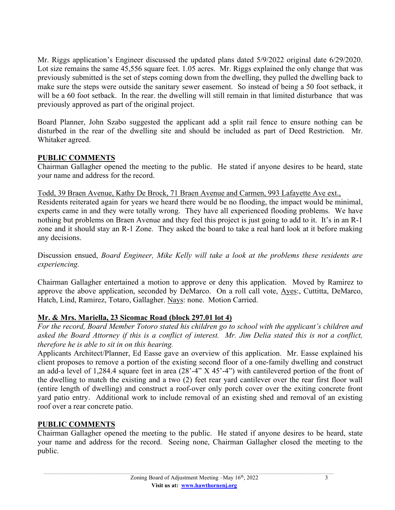Mr. Riggs application's Engineer discussed the updated plans dated 5/9/2022 original date 6/29/2020. Lot size remains the same  $45,556$  square feet. 1.05 acres. Mr. Riggs explained the only change that was previously submitted is the set of steps coming down from the dwelling, they pulled the dwelling back to make sure the steps were outside the sanitary sewer easement. So instead of being a 50 foot setback, it will be a 60 foot setback. In the rear. the dwelling will still remain in that limited disturbance that was previously approved as part of the original project.

Board Planner, John Szabo suggested the applicant add a split rail fence to ensure nothing can be disturbed in the rear of the dwelling site and should be included as part of Deed Restriction. Mr. Whitaker agreed.

## **PUBLIC COMMENTS**

Chairman Gallagher opened the meeting to the public. He stated if anyone desires to be heard, state your name and address for the record.

Todd, 39 Braen Avenue, Kathy De Brock, 71 Braen Avenue and Carmen, 993 Lafayette Ave ext.,

Residents reiterated again for years we heard there would be no flooding, the impact would be minimal, experts came in and they were totally wrong. They have all experienced flooding problems. We have nothing but problems on Braen Avenue and they feel this project is just going to add to it. It's in an R-1 zone and it should stay an R-1 Zone. They asked the board to take a real hard look at it before making any decisions.

Discussion ensued, *Board Engineer, Mike Kelly will take a look at the problems these residents are experiencing.* 

Chairman Gallagher entertained a motion to approve or deny this application. Moved by Ramirez to approve the above application, seconded by DeMarco. On a roll call vote, Ayes:, Cuttitta, DeMarco, Hatch, Lind, Ramirez, Totaro, Gallagher. Nays: none. Motion Carried.

## **Mr. & Mrs. Mariella, 23 Sicomac Road (block 297.01 lot 4)**

*For the record, Board Member Totoro stated his children go to school with the applicant's children and asked the Board Attorney if this is a conflict of interest. Mr. Jim Delia stated this is not a conflict, therefore he is able to sit in on this hearing.* 

Applicants Architect/Planner, Ed Easse gave an overview of this application. Mr. Easse explained his client proposes to remove a portion of the existing second floor of a one-family dwelling and construct an add-a level of 1,284.4 square feet in area (28'-4" X 45'-4") with cantilevered portion of the front of the dwelling to match the existing and a two (2) feet rear yard cantilever over the rear first floor wall (entire length of dwelling) and construct a roof-over only porch cover over the exiting concrete front yard patio entry. Additional work to include removal of an existing shed and removal of an existing roof over a rear concrete patio.

## **PUBLIC COMMENTS**

Chairman Gallagher opened the meeting to the public. He stated if anyone desires to be heard, state your name and address for the record. Seeing none, Chairman Gallagher closed the meeting to the public.